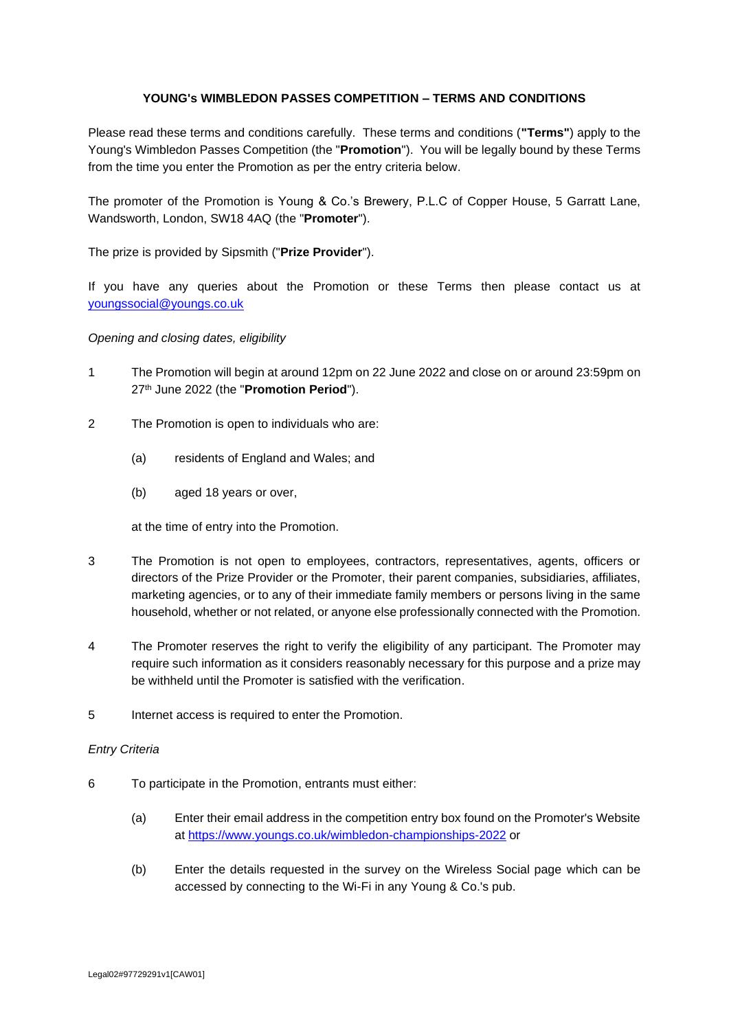# **YOUNG's WIMBLEDON PASSES COMPETITION – TERMS AND CONDITIONS**

Please read these terms and conditions carefully. These terms and conditions (**"Terms"**) apply to the Young's Wimbledon Passes Competition (the "**Promotion**"). You will be legally bound by these Terms from the time you enter the Promotion as per the entry criteria below.

The promoter of the Promotion is Young & Co.'s Brewery, P.L.C of Copper House, 5 Garratt Lane, Wandsworth, London, SW18 4AQ (the "**Promoter**").

The prize is provided by Sipsmith ("**Prize Provider**").

If you have any queries about the Promotion or these Terms then please contact us at youngssocial@youngs.co.uk

## *Opening and closing dates, eligibility*

- 1 The Promotion will begin at around 12pm on 22 June 2022 and close on or around 23:59pm on 27th June 2022 (the "**Promotion Period**").
- 2 The Promotion is open to individuals who are:
	- (a) residents of England and Wales; and
	- (b) aged 18 years or over,

at the time of entry into the Promotion.

- 3 The Promotion is not open to employees, contractors, representatives, agents, officers or directors of the Prize Provider or the Promoter, their parent companies, subsidiaries, affiliates, marketing agencies, or to any of their immediate family members or persons living in the same household, whether or not related, or anyone else professionally connected with the Promotion.
- 4 The Promoter reserves the right to verify the eligibility of any participant. The Promoter may require such information as it considers reasonably necessary for this purpose and a prize may be withheld until the Promoter is satisfied with the verification.
- 5 Internet access is required to enter the Promotion.

## *Entry Criteria*

- 6 To participate in the Promotion, entrants must either:
	- (a) Enter their email address in the competition entry box found on the Promoter's Website at<https://www.youngs.co.uk/wimbledon-championships-2022> or
	- (b) Enter the details requested in the survey on the Wireless Social page which can be accessed by connecting to the Wi-Fi in any Young & Co.'s pub.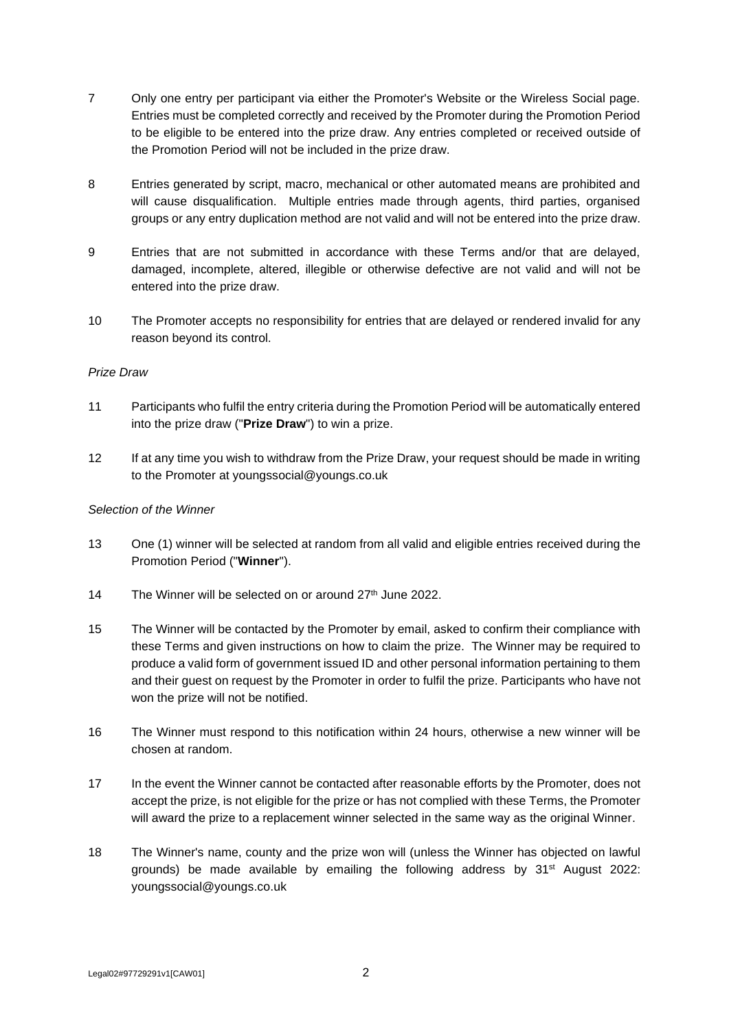- 7 Only one entry per participant via either the Promoter's Website or the Wireless Social page. Entries must be completed correctly and received by the Promoter during the Promotion Period to be eligible to be entered into the prize draw. Any entries completed or received outside of the Promotion Period will not be included in the prize draw.
- 8 Entries generated by script, macro, mechanical or other automated means are prohibited and will cause disqualification. Multiple entries made through agents, third parties, organised groups or any entry duplication method are not valid and will not be entered into the prize draw.
- 9 Entries that are not submitted in accordance with these Terms and/or that are delayed, damaged, incomplete, altered, illegible or otherwise defective are not valid and will not be entered into the prize draw.
- 10 The Promoter accepts no responsibility for entries that are delayed or rendered invalid for any reason beyond its control.

## *Prize Draw*

- 11 Participants who fulfil the entry criteria during the Promotion Period will be automatically entered into the prize draw ("**Prize Draw**") to win a prize.
- 12 If at any time you wish to withdraw from the Prize Draw, your request should be made in writing to the Promoter at youngssocial@youngs.co.uk

## *Selection of the Winner*

- 13 One (1) winner will be selected at random from all valid and eligible entries received during the Promotion Period ("**Winner**").
- 14 The Winner will be selected on or around  $27<sup>th</sup>$  June 2022.
- 15 The Winner will be contacted by the Promoter by email, asked to confirm their compliance with these Terms and given instructions on how to claim the prize. The Winner may be required to produce a valid form of government issued ID and other personal information pertaining to them and their guest on request by the Promoter in order to fulfil the prize. Participants who have not won the prize will not be notified.
- 16 The Winner must respond to this notification within 24 hours, otherwise a new winner will be chosen at random.
- 17 In the event the Winner cannot be contacted after reasonable efforts by the Promoter, does not accept the prize, is not eligible for the prize or has not complied with these Terms, the Promoter will award the prize to a replacement winner selected in the same way as the original Winner.
- 18 The Winner's name, county and the prize won will (unless the Winner has objected on lawful grounds) be made available by emailing the following address by  $31<sup>st</sup>$  August 2022: youngssocial@youngs.co.uk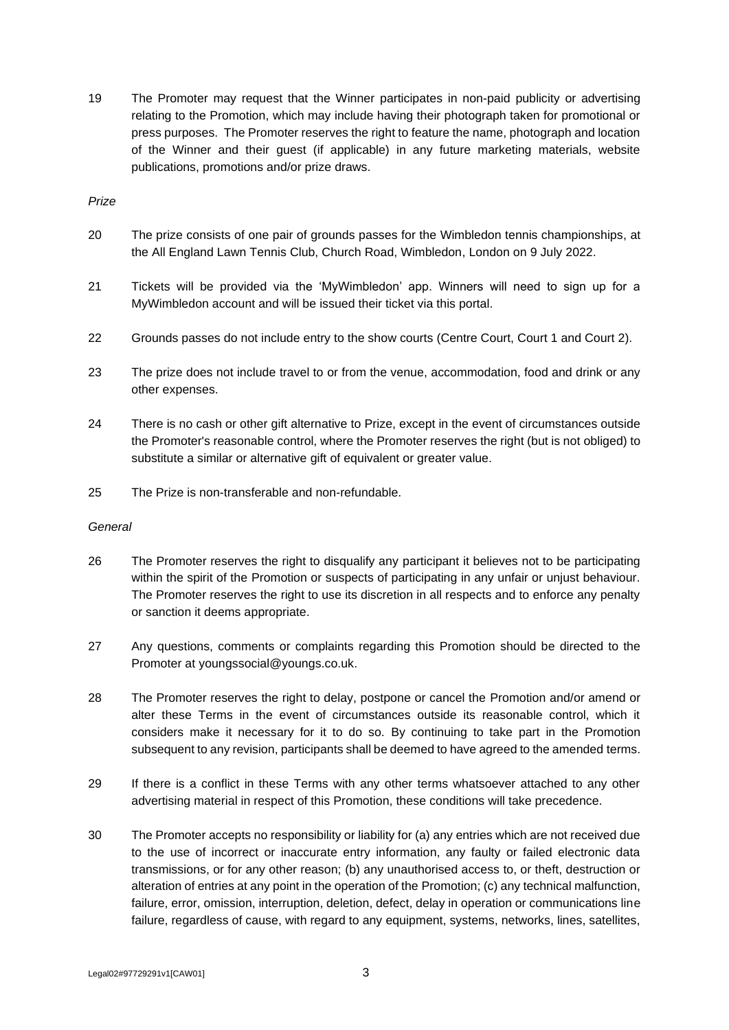19 The Promoter may request that the Winner participates in non-paid publicity or advertising relating to the Promotion, which may include having their photograph taken for promotional or press purposes. The Promoter reserves the right to feature the name, photograph and location of the Winner and their guest (if applicable) in any future marketing materials, website publications, promotions and/or prize draws.

*Prize*

- 20 The prize consists of one pair of grounds passes for the Wimbledon tennis championships, at the All England Lawn Tennis Club, Church Road, Wimbledon, London on 9 July 2022.
- 21 Tickets will be provided via the 'MyWimbledon' app. Winners will need to sign up for a MyWimbledon account and will be issued their ticket via this portal.
- 22 Grounds passes do not include entry to the show courts (Centre Court, Court 1 and Court 2).
- 23 The prize does not include travel to or from the venue, accommodation, food and drink or any other expenses.
- 24 There is no cash or other gift alternative to Prize, except in the event of circumstances outside the Promoter's reasonable control, where the Promoter reserves the right (but is not obliged) to substitute a similar or alternative gift of equivalent or greater value.
- 25 The Prize is non-transferable and non-refundable.

## *General*

- 26 The Promoter reserves the right to disqualify any participant it believes not to be participating within the spirit of the Promotion or suspects of participating in any unfair or unjust behaviour. The Promoter reserves the right to use its discretion in all respects and to enforce any penalty or sanction it deems appropriate.
- 27 Any questions, comments or complaints regarding this Promotion should be directed to the Promoter at youngssocial@youngs.co.uk.
- 28 The Promoter reserves the right to delay, postpone or cancel the Promotion and/or amend or alter these Terms in the event of circumstances outside its reasonable control, which it considers make it necessary for it to do so. By continuing to take part in the Promotion subsequent to any revision, participants shall be deemed to have agreed to the amended terms.
- 29 If there is a conflict in these Terms with any other terms whatsoever attached to any other advertising material in respect of this Promotion, these conditions will take precedence.
- 30 The Promoter accepts no responsibility or liability for (a) any entries which are not received due to the use of incorrect or inaccurate entry information, any faulty or failed electronic data transmissions, or for any other reason; (b) any unauthorised access to, or theft, destruction or alteration of entries at any point in the operation of the Promotion; (c) any technical malfunction, failure, error, omission, interruption, deletion, defect, delay in operation or communications line failure, regardless of cause, with regard to any equipment, systems, networks, lines, satellites,